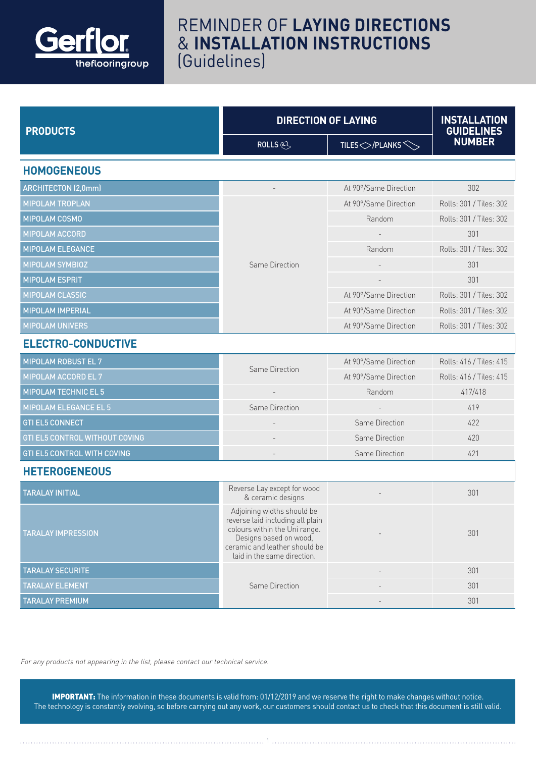

## REMINDER OF **LAYING DIRECTIONS** & **INSTALLATION INSTRUCTIONS** (Guidelines)

| <b>PRODUCTS</b>                    | <b>DIRECTION OF LAYING</b>                                                                                                                                                                |                          | <b>INSTALLATION</b><br><b>GUIDELINES</b> |  |
|------------------------------------|-------------------------------------------------------------------------------------------------------------------------------------------------------------------------------------------|--------------------------|------------------------------------------|--|
|                                    | ROLLS $\otimes$                                                                                                                                                                           | TILES $\bigcirc$ /PLANKS | <b>NUMBER</b>                            |  |
| <b>HOMOGENEOUS</b>                 |                                                                                                                                                                                           |                          |                                          |  |
| <b>ARCHITECTON (2,0mm)</b>         |                                                                                                                                                                                           | At 90°/Same Direction    | 302                                      |  |
| <b>MIPOLAM TROPLAN</b>             | Same Direction                                                                                                                                                                            | At 90°/Same Direction    | Rolls: 301 / Tiles: 302                  |  |
| MIPOLAM COSMO                      |                                                                                                                                                                                           | Random                   | Rolls: 301 / Tiles: 302                  |  |
| <b>MIPOLAM ACCORD</b>              |                                                                                                                                                                                           |                          | 301                                      |  |
| <b>MIPOLAM ELEGANCE</b>            |                                                                                                                                                                                           | Random                   | Rolls: 301 / Tiles: 302                  |  |
| MIPOLAM SYMBIOZ                    |                                                                                                                                                                                           |                          | 301                                      |  |
| <b>MIPOLAM ESPRIT</b>              |                                                                                                                                                                                           |                          | 301                                      |  |
| <b>MIPOLAM CLASSIC</b>             |                                                                                                                                                                                           | At 90°/Same Direction    | Rolls: 301 / Tiles: 302                  |  |
| <b>MIPOLAM IMPERIAL</b>            |                                                                                                                                                                                           | At 90°/Same Direction    | Rolls: 301 / Tiles: 302                  |  |
| <b>MIPOLAM UNIVERS</b>             |                                                                                                                                                                                           | At 90°/Same Direction    | Rolls: 301 / Tiles: 302                  |  |
| <b>ELECTRO-CONDUCTIVE</b>          |                                                                                                                                                                                           |                          |                                          |  |
| MIPOLAM ROBUST EL 7                | Same Direction                                                                                                                                                                            | At 90°/Same Direction    | Rolls: 416 / Tiles: 415                  |  |
| MIPOLAM ACCORD EL 7                |                                                                                                                                                                                           | At 90°/Same Direction    | Rolls: 416 / Tiles: 415                  |  |
| <b>MIPOLAM TECHNIC EL 5</b>        |                                                                                                                                                                                           | Random                   | 417/418                                  |  |
| MIPOLAM ELEGANCE EL 5              | Same Direction                                                                                                                                                                            |                          | 419                                      |  |
| <b>GTI EL5 CONNECT</b>             |                                                                                                                                                                                           | Same Direction           | 422                                      |  |
| GTI EL5 CONTROL WITHOUT COVING     |                                                                                                                                                                                           | Same Direction           | 420                                      |  |
| <b>GTI EL5 CONTROL WITH COVING</b> |                                                                                                                                                                                           | Same Direction           | 421                                      |  |
| <b>HETEROGENEOUS</b>               |                                                                                                                                                                                           |                          |                                          |  |
| <b>TARALAY INITIAL</b>             | Reverse Lay except for wood<br>& ceramic designs                                                                                                                                          |                          | 301                                      |  |
| <b>TARALAY IMPRESSION</b>          | Adjoining widths should be<br>reverse laid including all plain<br>colours within the Uni range.<br>Designs based on wood,<br>ceramic and leather should be<br>laid in the same direction. |                          | 301                                      |  |
| <b>TARALAY SECURITE</b>            |                                                                                                                                                                                           |                          | 301                                      |  |
| <b>TARALAY ELEMENT</b>             | Same Direction                                                                                                                                                                            |                          | 301                                      |  |
| <b>TARALAY PREMIUM</b>             |                                                                                                                                                                                           |                          | 301                                      |  |

For any products not appearing in the list, please contact our technical service.

IMPORTANT: The information in these documents is valid from: 01/12/2019 and we reserve the right to make changes without notice. The technology is constantly evolving, so before carrying out any work, our customers should contact us to check that this document is still valid.

1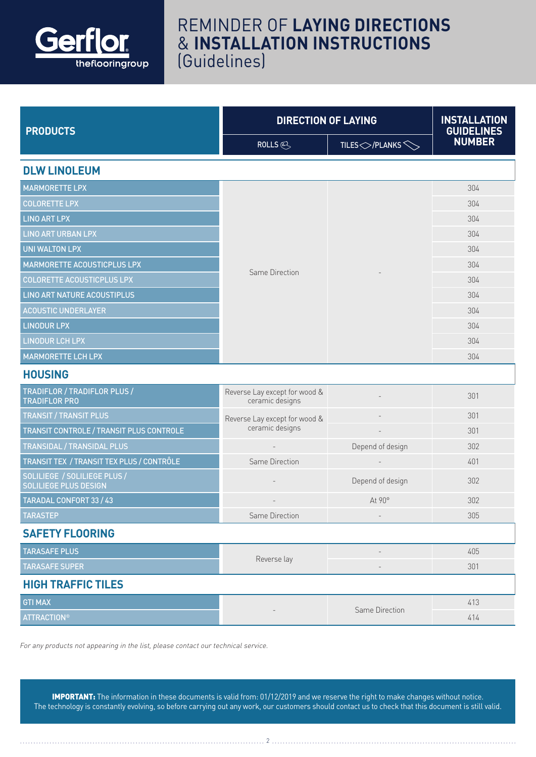

## REMINDER OF **LAYING DIRECTIONS** & **INSTALLATION INSTRUCTIONS** (Guidelines)

| <b>PRODUCTS</b>                                              | <b>DIRECTION OF LAYING</b>                       |                                      | <b>INSTALLATION</b><br><b>GUIDELINES</b> |  |
|--------------------------------------------------------------|--------------------------------------------------|--------------------------------------|------------------------------------------|--|
|                                                              | ROLLS $\otimes$                                  | TILES $\bigcirc$ / PLANKS $\bigcirc$ | <b>NUMBER</b>                            |  |
| <b>DLW LINOLEUM</b>                                          |                                                  |                                      |                                          |  |
| <b>MARMORETTE LPX</b>                                        |                                                  |                                      | 304                                      |  |
| <b>COLORETTE LPX</b>                                         |                                                  |                                      | 304                                      |  |
| <b>LINO ART LPX</b>                                          |                                                  |                                      | 304                                      |  |
| <b>LINO ART URBAN LPX</b>                                    |                                                  |                                      | 304                                      |  |
| <b>UNI WALTON LPX</b>                                        |                                                  |                                      | 304                                      |  |
| MARMORETTE ACOUSTICPLUS LPX                                  | Same Direction                                   |                                      | 304                                      |  |
| <b>COLORETTE ACOUSTICPLUS LPX</b>                            |                                                  |                                      | 304                                      |  |
| <b>LINO ART NATURE ACOUSTIPLUS</b>                           |                                                  |                                      | 304                                      |  |
| <b>ACOUSTIC UNDERLAYER</b>                                   |                                                  |                                      | 304                                      |  |
| <b>LINODUR LPX</b>                                           |                                                  |                                      | 304                                      |  |
| <b>LINODUR LCH LPX</b>                                       |                                                  |                                      | 304                                      |  |
| <b>MARMORETTE LCH LPX</b>                                    |                                                  |                                      | 304                                      |  |
| <b>HOUSING</b>                                               |                                                  |                                      |                                          |  |
| TRADIFLOR / TRADIFLOR PLUS /<br><b>TRADIFLOR PRO</b>         | Reverse Lay except for wood &<br>ceramic designs |                                      | 301                                      |  |
| <b>TRANSIT / TRANSIT PLUS</b>                                | Reverse Lay except for wood &                    |                                      | 301                                      |  |
| TRANSIT CONTROLE / TRANSIT PLUS CONTROLE                     | ceramic designs                                  |                                      | 301                                      |  |
| <b>TRANSIDAL / TRANSIDAL PLUS</b>                            |                                                  | Depend of design                     | 302                                      |  |
| TRANSIT TEX / TRANSIT TEX PLUS / CONTRÔLE                    | Same Direction                                   |                                      | 401                                      |  |
| SOLILIEGE / SOLILIEGE PLUS /<br><b>SOLILIEGE PLUS DESIGN</b> |                                                  | Depend of design                     | 302                                      |  |
| <b>TARADAL CONFORT 33 / 43</b>                               |                                                  | At 90°                               | 302                                      |  |
| <b>TARASTEP</b>                                              | Same Direction                                   |                                      | 305                                      |  |
| <b>SAFETY FLOORING</b>                                       |                                                  |                                      |                                          |  |
| <b>TARASAFE PLUS</b>                                         |                                                  | $\qquad \qquad -$                    | 405                                      |  |
| <b>TARASAFE SUPER</b>                                        | Reverse lay                                      |                                      | 301                                      |  |
| <b>HIGH TRAFFIC TILES</b>                                    |                                                  |                                      |                                          |  |
| <b>GTI MAX</b>                                               |                                                  |                                      | 413                                      |  |
| <b>ATTRACTION®</b>                                           |                                                  | Same Direction                       | 414                                      |  |

For any products not appearing in the list, please contact our technical service.

IMPORTANT: The information in these documents is valid from: 01/12/2019 and we reserve the right to make changes without notice. The technology is constantly evolving, so before carrying out any work, our customers should contact us to check that this document is still valid.